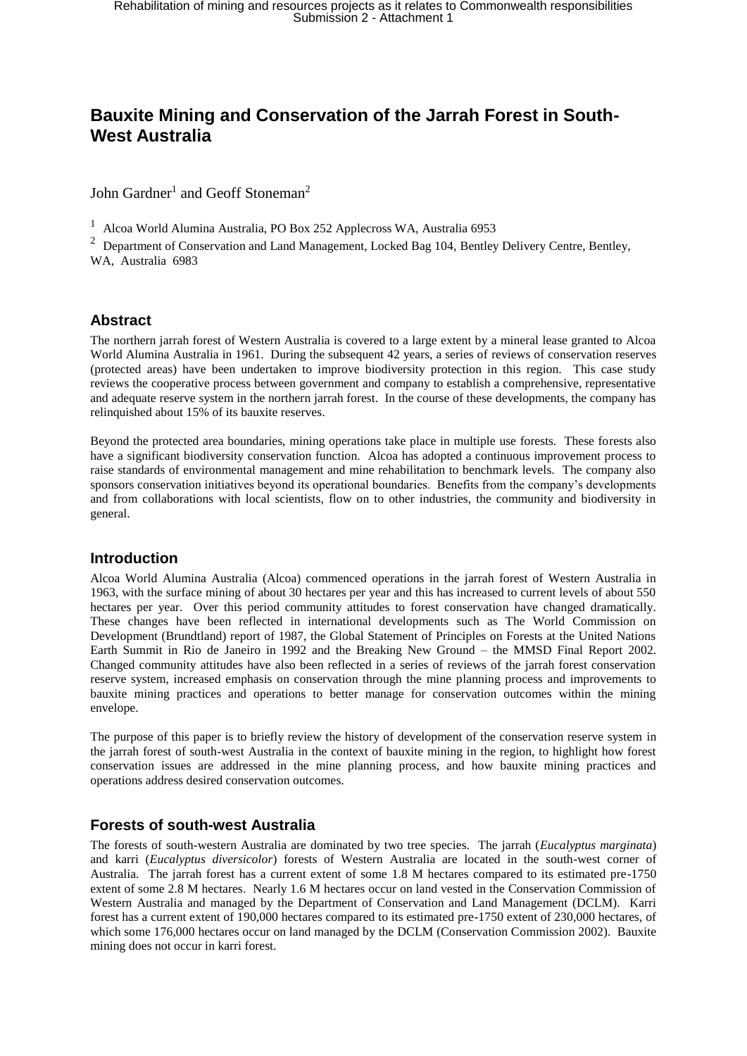### **Bauxite Mining and Conservation of the Jarrah Forest in South-West Australia**

John Gardner<sup>1</sup> and Geoff Stoneman<sup>2</sup>

<sup>1</sup> Alcoa World Alumina Australia, PO Box 252 Applecross WA, Australia 6953

<sup>2</sup> Department of Conservation and Land Management, Locked Bag 104, Bentley Delivery Centre, Bentley, WA, Australia 6983

### **Abstract**

The northern jarrah forest of Western Australia is covered to a large extent by a mineral lease granted to Alcoa World Alumina Australia in 1961. During the subsequent 42 years, a series of reviews of conservation reserves (protected areas) have been undertaken to improve biodiversity protection in this region. This case study reviews the cooperative process between government and company to establish a comprehensive, representative and adequate reserve system in the northern jarrah forest. In the course of these developments, the company has relinquished about 15% of its bauxite reserves.

Beyond the protected area boundaries, mining operations take place in multiple use forests. These forests also have a significant biodiversity conservation function. Alcoa has adopted a continuous improvement process to raise standards of environmental management and mine rehabilitation to benchmark levels. The company also sponsors conservation initiatives beyond its operational boundaries. Benefits from the company's developments and from collaborations with local scientists, flow on to other industries, the community and biodiversity in general.

### **Introduction**

Alcoa World Alumina Australia (Alcoa) commenced operations in the jarrah forest of Western Australia in 1963, with the surface mining of about 30 hectares per year and this has increased to current levels of about 550 hectares per year. Over this period community attitudes to forest conservation have changed dramatically. These changes have been reflected in international developments such as The World Commission on Development (Brundtland) report of 1987, the Global Statement of Principles on Forests at the United Nations Earth Summit in Rio de Janeiro in 1992 and the Breaking New Ground – the MMSD Final Report 2002. Changed community attitudes have also been reflected in a series of reviews of the jarrah forest conservation reserve system, increased emphasis on conservation through the mine planning process and improvements to bauxite mining practices and operations to better manage for conservation outcomes within the mining envelope.

The purpose of this paper is to briefly review the history of development of the conservation reserve system in the jarrah forest of south-west Australia in the context of bauxite mining in the region, to highlight how forest conservation issues are addressed in the mine planning process, and how bauxite mining practices and operations address desired conservation outcomes.

### **Forests of south-west Australia**

The forests of south-western Australia are dominated by two tree species. The jarrah (*Eucalyptus marginata*) and karri (*Eucalyptus diversicolor*) forests of Western Australia are located in the south-west corner of Australia. The jarrah forest has a current extent of some 1.8 M hectares compared to its estimated pre-1750 extent of some 2.8 M hectares. Nearly 1.6 M hectares occur on land vested in the Conservation Commission of Western Australia and managed by the Department of Conservation and Land Management (DCLM). Karri forest has a current extent of 190,000 hectares compared to its estimated pre-1750 extent of 230,000 hectares, of which some 176,000 hectares occur on land managed by the DCLM (Conservation Commission 2002). Bauxite mining does not occur in karri forest.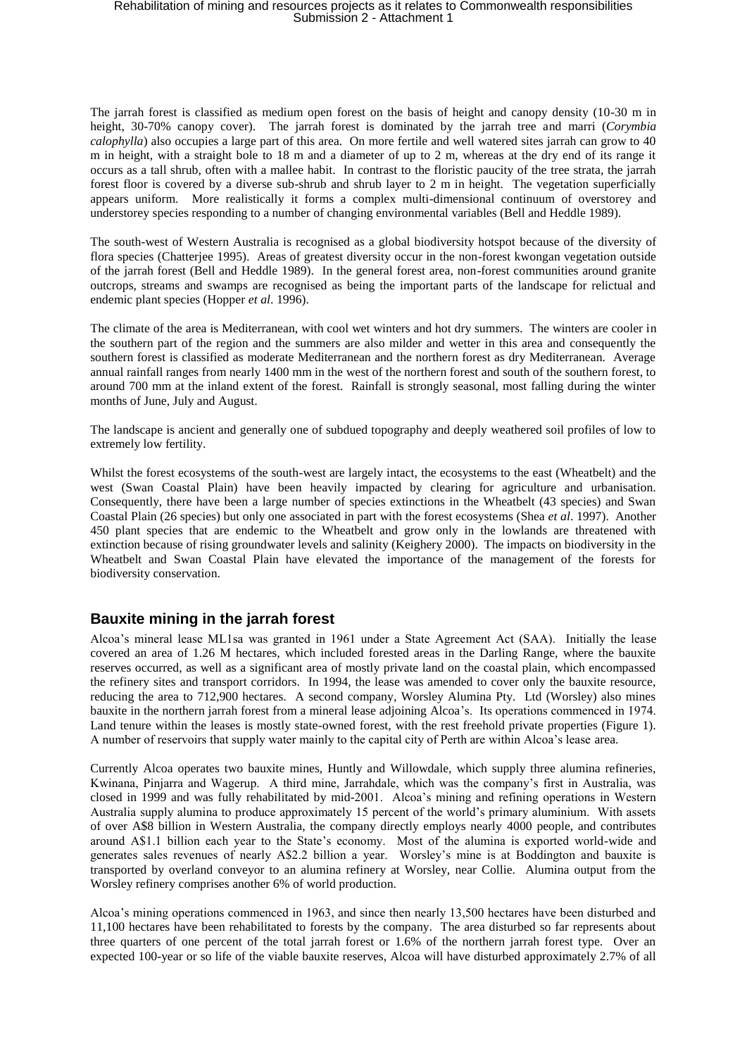The jarrah forest is classified as medium open forest on the basis of height and canopy density (10-30 m in height, 30-70% canopy cover). The jarrah forest is dominated by the jarrah tree and marri (*Corymbia calophylla*) also occupies a large part of this area. On more fertile and well watered sites jarrah can grow to 40 m in height, with a straight bole to 18 m and a diameter of up to 2 m, whereas at the dry end of its range it occurs as a tall shrub, often with a mallee habit. In contrast to the floristic paucity of the tree strata, the jarrah forest floor is covered by a diverse sub-shrub and shrub layer to 2 m in height. The vegetation superficially appears uniform. More realistically it forms a complex multi-dimensional continuum of overstorey and understorey species responding to a number of changing environmental variables (Bell and Heddle 1989).

The south-west of Western Australia is recognised as a global biodiversity hotspot because of the diversity of flora species (Chatterjee 1995). Areas of greatest diversity occur in the non-forest kwongan vegetation outside of the jarrah forest (Bell and Heddle 1989). In the general forest area, non-forest communities around granite outcrops, streams and swamps are recognised as being the important parts of the landscape for relictual and endemic plant species (Hopper *et al*. 1996).

The climate of the area is Mediterranean, with cool wet winters and hot dry summers. The winters are cooler in the southern part of the region and the summers are also milder and wetter in this area and consequently the southern forest is classified as moderate Mediterranean and the northern forest as dry Mediterranean. Average annual rainfall ranges from nearly 1400 mm in the west of the northern forest and south of the southern forest, to around 700 mm at the inland extent of the forest. Rainfall is strongly seasonal, most falling during the winter months of June, July and August.

The landscape is ancient and generally one of subdued topography and deeply weathered soil profiles of low to extremely low fertility.

Whilst the forest ecosystems of the south-west are largely intact, the ecosystems to the east (Wheatbelt) and the west (Swan Coastal Plain) have been heavily impacted by clearing for agriculture and urbanisation. Consequently, there have been a large number of species extinctions in the Wheatbelt (43 species) and Swan Coastal Plain (26 species) but only one associated in part with the forest ecosystems (Shea *et al*. 1997). Another 450 plant species that are endemic to the Wheatbelt and grow only in the lowlands are threatened with extinction because of rising groundwater levels and salinity (Keighery 2000). The impacts on biodiversity in the Wheatbelt and Swan Coastal Plain have elevated the importance of the management of the forests for biodiversity conservation.

### **Bauxite mining in the jarrah forest**

Alcoa's mineral lease ML1sa was granted in 1961 under a State Agreement Act (SAA). Initially the lease covered an area of 1.26 M hectares, which included forested areas in the Darling Range, where the bauxite reserves occurred, as well as a significant area of mostly private land on the coastal plain, which encompassed the refinery sites and transport corridors. In 1994, the lease was amended to cover only the bauxite resource, reducing the area to 712,900 hectares. A second company, Worsley Alumina Pty. Ltd (Worsley) also mines bauxite in the northern jarrah forest from a mineral lease adjoining Alcoa's. Its operations commenced in 1974. Land tenure within the leases is mostly state-owned forest, with the rest freehold private properties (Figure 1). A number of reservoirs that supply water mainly to the capital city of Perth are within Alcoa's lease area.

Currently Alcoa operates two bauxite mines, Huntly and Willowdale, which supply three alumina refineries, Kwinana, Pinjarra and Wagerup. A third mine, Jarrahdale, which was the company's first in Australia, was closed in 1999 and was fully rehabilitated by mid-2001. Alcoa's mining and refining operations in Western Australia supply alumina to produce approximately 15 percent of the world's primary aluminium. With assets of over A\$8 billion in Western Australia, the company directly employs nearly 4000 people, and contributes around A\$1.1 billion each year to the State's economy. Most of the alumina is exported world-wide and generates sales revenues of nearly A\$2.2 billion a year. Worsley's mine is at Boddington and bauxite is transported by overland conveyor to an alumina refinery at Worsley, near Collie. Alumina output from the Worsley refinery comprises another 6% of world production.

Alcoa's mining operations commenced in 1963, and since then nearly 13,500 hectares have been disturbed and 11,100 hectares have been rehabilitated to forests by the company. The area disturbed so far represents about three quarters of one percent of the total jarrah forest or 1.6% of the northern jarrah forest type. Over an expected 100-year or so life of the viable bauxite reserves, Alcoa will have disturbed approximately 2.7% of all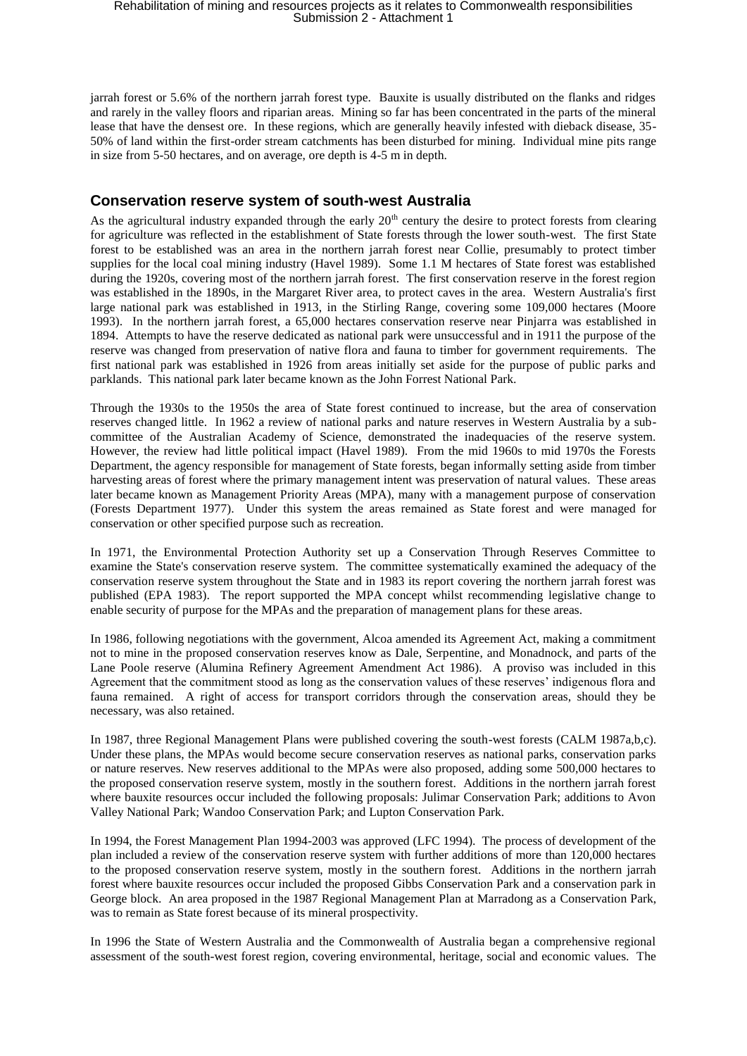jarrah forest or 5.6% of the northern jarrah forest type. Bauxite is usually distributed on the flanks and ridges and rarely in the valley floors and riparian areas. Mining so far has been concentrated in the parts of the mineral lease that have the densest ore. In these regions, which are generally heavily infested with dieback disease, 35- 50% of land within the first-order stream catchments has been disturbed for mining. Individual mine pits range in size from 5-50 hectares, and on average, ore depth is 4-5 m in depth.

### **Conservation reserve system of south-west Australia**

As the agricultural industry expanded through the early  $20<sup>th</sup>$  century the desire to protect forests from clearing for agriculture was reflected in the establishment of State forests through the lower south-west. The first State forest to be established was an area in the northern jarrah forest near Collie, presumably to protect timber supplies for the local coal mining industry (Havel 1989). Some 1.1 M hectares of State forest was established during the 1920s, covering most of the northern jarrah forest. The first conservation reserve in the forest region was established in the 1890s, in the Margaret River area, to protect caves in the area. Western Australia's first large national park was established in 1913, in the Stirling Range, covering some 109,000 hectares (Moore 1993). In the northern jarrah forest, a 65,000 hectares conservation reserve near Pinjarra was established in 1894. Attempts to have the reserve dedicated as national park were unsuccessful and in 1911 the purpose of the reserve was changed from preservation of native flora and fauna to timber for government requirements. The first national park was established in 1926 from areas initially set aside for the purpose of public parks and parklands. This national park later became known as the John Forrest National Park.

Through the 1930s to the 1950s the area of State forest continued to increase, but the area of conservation reserves changed little. In 1962 a review of national parks and nature reserves in Western Australia by a subcommittee of the Australian Academy of Science, demonstrated the inadequacies of the reserve system. However, the review had little political impact (Havel 1989). From the mid 1960s to mid 1970s the Forests Department, the agency responsible for management of State forests, began informally setting aside from timber harvesting areas of forest where the primary management intent was preservation of natural values. These areas later became known as Management Priority Areas (MPA), many with a management purpose of conservation (Forests Department 1977). Under this system the areas remained as State forest and were managed for conservation or other specified purpose such as recreation.

In 1971, the Environmental Protection Authority set up a Conservation Through Reserves Committee to examine the State's conservation reserve system. The committee systematically examined the adequacy of the conservation reserve system throughout the State and in 1983 its report covering the northern jarrah forest was published (EPA 1983). The report supported the MPA concept whilst recommending legislative change to enable security of purpose for the MPAs and the preparation of management plans for these areas.

In 1986, following negotiations with the government, Alcoa amended its Agreement Act, making a commitment not to mine in the proposed conservation reserves know as Dale, Serpentine, and Monadnock, and parts of the Lane Poole reserve (Alumina Refinery Agreement Amendment Act 1986). A proviso was included in this Agreement that the commitment stood as long as the conservation values of these reserves' indigenous flora and fauna remained. A right of access for transport corridors through the conservation areas, should they be necessary, was also retained.

In 1987, three Regional Management Plans were published covering the south-west forests (CALM 1987a,b,c). Under these plans, the MPAs would become secure conservation reserves as national parks, conservation parks or nature reserves. New reserves additional to the MPAs were also proposed, adding some 500,000 hectares to the proposed conservation reserve system, mostly in the southern forest. Additions in the northern jarrah forest where bauxite resources occur included the following proposals: Julimar Conservation Park; additions to Avon Valley National Park; Wandoo Conservation Park; and Lupton Conservation Park.

In 1994, the Forest Management Plan 1994-2003 was approved (LFC 1994). The process of development of the plan included a review of the conservation reserve system with further additions of more than 120,000 hectares to the proposed conservation reserve system, mostly in the southern forest. Additions in the northern jarrah forest where bauxite resources occur included the proposed Gibbs Conservation Park and a conservation park in George block. An area proposed in the 1987 Regional Management Plan at Marradong as a Conservation Park, was to remain as State forest because of its mineral prospectivity.

In 1996 the State of Western Australia and the Commonwealth of Australia began a comprehensive regional assessment of the south-west forest region, covering environmental, heritage, social and economic values. The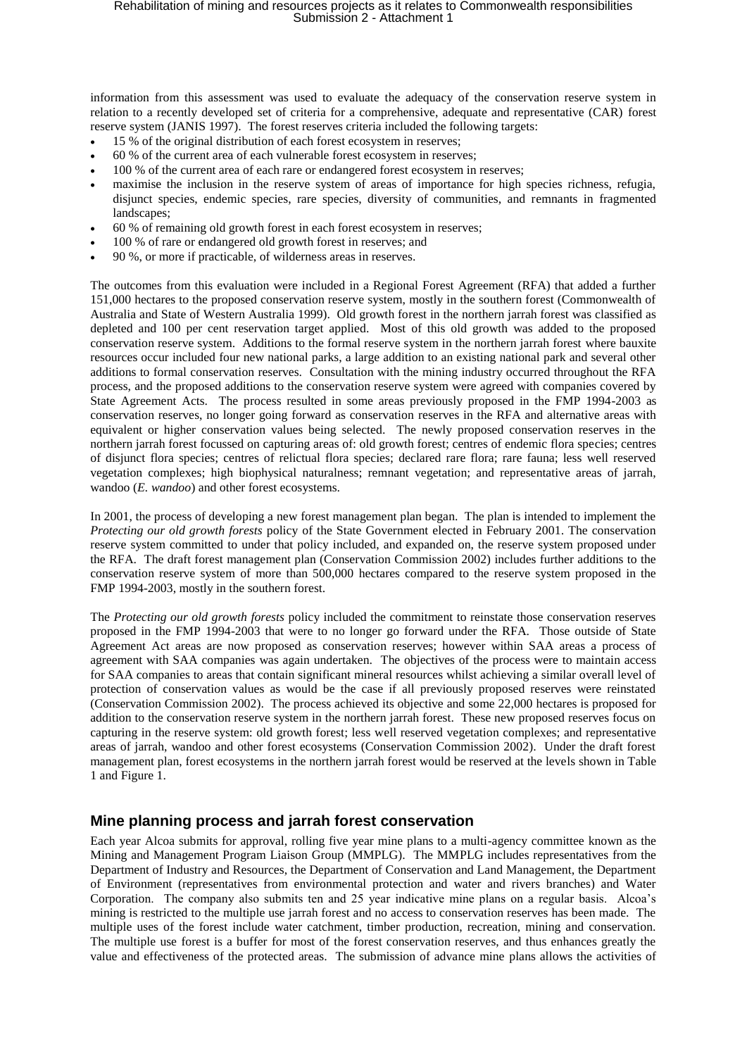information from this assessment was used to evaluate the adequacy of the conservation reserve system in relation to a recently developed set of criteria for a comprehensive, adequate and representative (CAR) forest reserve system (JANIS 1997). The forest reserves criteria included the following targets:

- 15 % of the original distribution of each forest ecosystem in reserves;
- 60 % of the current area of each vulnerable forest ecosystem in reserves;
- 100 % of the current area of each rare or endangered forest ecosystem in reserves;
- maximise the inclusion in the reserve system of areas of importance for high species richness, refugia, disjunct species, endemic species, rare species, diversity of communities, and remnants in fragmented landscapes;
- 60 % of remaining old growth forest in each forest ecosystem in reserves;
- 100 % of rare or endangered old growth forest in reserves; and
- 90 %, or more if practicable, of wilderness areas in reserves.

The outcomes from this evaluation were included in a Regional Forest Agreement (RFA) that added a further 151,000 hectares to the proposed conservation reserve system, mostly in the southern forest (Commonwealth of Australia and State of Western Australia 1999). Old growth forest in the northern jarrah forest was classified as depleted and 100 per cent reservation target applied. Most of this old growth was added to the proposed conservation reserve system. Additions to the formal reserve system in the northern jarrah forest where bauxite resources occur included four new national parks, a large addition to an existing national park and several other additions to formal conservation reserves. Consultation with the mining industry occurred throughout the RFA process, and the proposed additions to the conservation reserve system were agreed with companies covered by State Agreement Acts. The process resulted in some areas previously proposed in the FMP 1994-2003 as conservation reserves, no longer going forward as conservation reserves in the RFA and alternative areas with equivalent or higher conservation values being selected. The newly proposed conservation reserves in the northern jarrah forest focussed on capturing areas of: old growth forest; centres of endemic flora species; centres of disjunct flora species; centres of relictual flora species; declared rare flora; rare fauna; less well reserved vegetation complexes; high biophysical naturalness; remnant vegetation; and representative areas of jarrah, wandoo (*E. wandoo*) and other forest ecosystems.

In 2001, the process of developing a new forest management plan began. The plan is intended to implement the *Protecting our old growth forests* policy of the State Government elected in February 2001. The conservation reserve system committed to under that policy included, and expanded on, the reserve system proposed under the RFA. The draft forest management plan (Conservation Commission 2002) includes further additions to the conservation reserve system of more than 500,000 hectares compared to the reserve system proposed in the FMP 1994-2003, mostly in the southern forest.

The *Protecting our old growth forests* policy included the commitment to reinstate those conservation reserves proposed in the FMP 1994-2003 that were to no longer go forward under the RFA. Those outside of State Agreement Act areas are now proposed as conservation reserves; however within SAA areas a process of agreement with SAA companies was again undertaken. The objectives of the process were to maintain access for SAA companies to areas that contain significant mineral resources whilst achieving a similar overall level of protection of conservation values as would be the case if all previously proposed reserves were reinstated (Conservation Commission 2002). The process achieved its objective and some 22,000 hectares is proposed for addition to the conservation reserve system in the northern jarrah forest. These new proposed reserves focus on capturing in the reserve system: old growth forest; less well reserved vegetation complexes; and representative areas of jarrah, wandoo and other forest ecosystems (Conservation Commission 2002). Under the draft forest management plan, forest ecosystems in the northern jarrah forest would be reserved at the levels shown in Table 1 and Figure 1.

### **Mine planning process and jarrah forest conservation**

Each year Alcoa submits for approval, rolling five year mine plans to a multi-agency committee known as the Mining and Management Program Liaison Group (MMPLG). The MMPLG includes representatives from the Department of Industry and Resources, the Department of Conservation and Land Management, the Department of Environment (representatives from environmental protection and water and rivers branches) and Water Corporation. The company also submits ten and 25 year indicative mine plans on a regular basis. Alcoa's mining is restricted to the multiple use jarrah forest and no access to conservation reserves has been made. The multiple uses of the forest include water catchment, timber production, recreation, mining and conservation. The multiple use forest is a buffer for most of the forest conservation reserves, and thus enhances greatly the value and effectiveness of the protected areas. The submission of advance mine plans allows the activities of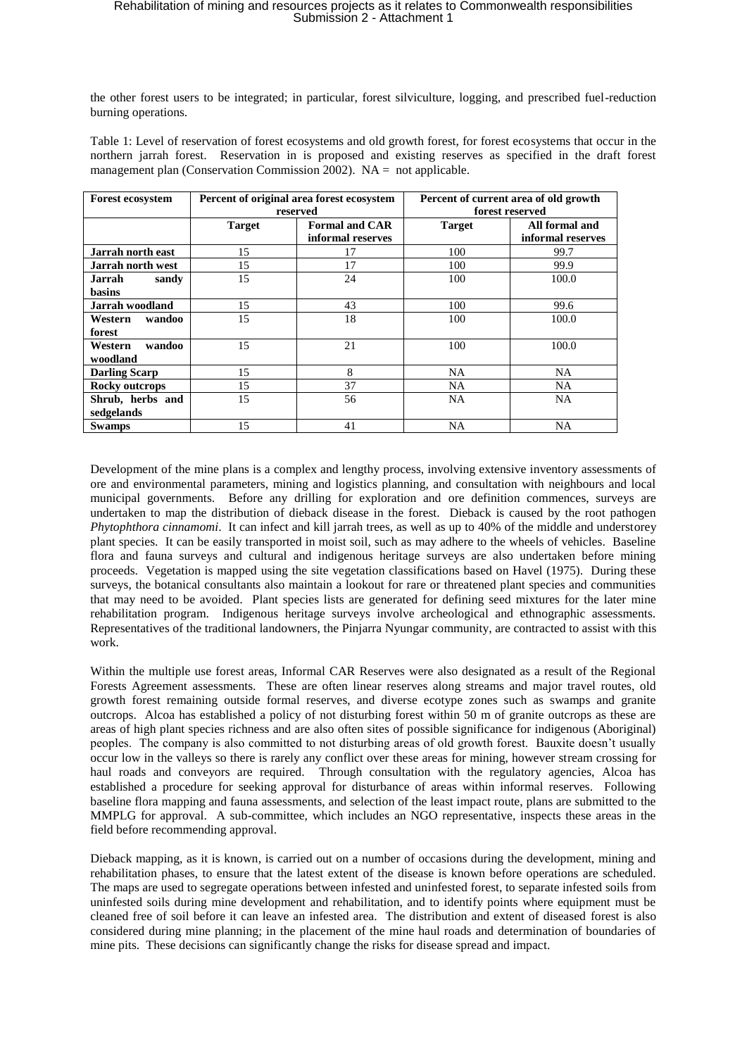the other forest users to be integrated; in particular, forest silviculture, logging, and prescribed fuel-reduction burning operations.

Table 1: Level of reservation of forest ecosystems and old growth forest, for forest ecosystems that occur in the northern jarrah forest. Reservation in is proposed and existing reserves as specified in the draft forest management plan (Conservation Commission 2002). NA = not applicable.

| <b>Forest ecosystem</b>  | Percent of original area forest ecosystem |                       | Percent of current area of old growth |                   |
|--------------------------|-------------------------------------------|-----------------------|---------------------------------------|-------------------|
|                          | reserved                                  |                       | forest reserved                       |                   |
|                          | <b>Target</b>                             | <b>Formal and CAR</b> | <b>Target</b>                         | All formal and    |
|                          |                                           | informal reserves     |                                       | informal reserves |
| <b>Jarrah north east</b> | 15                                        | 17                    | 100                                   | 99.7              |
| <b>Jarrah north west</b> | 15                                        | 17                    | 100                                   | 99.9              |
| Jarrah<br>sandy          | 15                                        | 24                    | 100                                   | 100.0             |
| basins                   |                                           |                       |                                       |                   |
| <b>Jarrah woodland</b>   | 15                                        | 43                    | 100                                   | 99.6              |
| wandoo<br>Western        | 15                                        | 18                    | 100                                   | 100.0             |
| forest                   |                                           |                       |                                       |                   |
| wandoo<br>Western        | 15                                        | 21                    | 100                                   | 100.0             |
| woodland                 |                                           |                       |                                       |                   |
| <b>Darling Scarp</b>     | 15                                        | 8                     | NA                                    | <b>NA</b>         |
| Rocky outcrops           | 15                                        | 37                    | NA                                    | <b>NA</b>         |
| Shrub, herbs and         | 15                                        | 56                    | NA                                    | <b>NA</b>         |
| sedgelands               |                                           |                       |                                       |                   |
| <b>Swamps</b>            | 15                                        | 41                    | NA                                    | <b>NA</b>         |

Development of the mine plans is a complex and lengthy process, involving extensive inventory assessments of ore and environmental parameters, mining and logistics planning, and consultation with neighbours and local municipal governments. Before any drilling for exploration and ore definition commences, surveys are undertaken to map the distribution of dieback disease in the forest. Dieback is caused by the root pathogen *Phytophthora cinnamomi*. It can infect and kill jarrah trees, as well as up to 40% of the middle and understorey plant species. It can be easily transported in moist soil, such as may adhere to the wheels of vehicles. Baseline flora and fauna surveys and cultural and indigenous heritage surveys are also undertaken before mining proceeds. Vegetation is mapped using the site vegetation classifications based on Havel (1975). During these surveys, the botanical consultants also maintain a lookout for rare or threatened plant species and communities that may need to be avoided. Plant species lists are generated for defining seed mixtures for the later mine rehabilitation program. Indigenous heritage surveys involve archeological and ethnographic assessments. Representatives of the traditional landowners, the Pinjarra Nyungar community, are contracted to assist with this work.

Within the multiple use forest areas, Informal CAR Reserves were also designated as a result of the Regional Forests Agreement assessments. These are often linear reserves along streams and major travel routes, old growth forest remaining outside formal reserves, and diverse ecotype zones such as swamps and granite outcrops. Alcoa has established a policy of not disturbing forest within 50 m of granite outcrops as these are areas of high plant species richness and are also often sites of possible significance for indigenous (Aboriginal) peoples. The company is also committed to not disturbing areas of old growth forest. Bauxite doesn't usually occur low in the valleys so there is rarely any conflict over these areas for mining, however stream crossing for haul roads and conveyors are required. Through consultation with the regulatory agencies, Alcoa has established a procedure for seeking approval for disturbance of areas within informal reserves. Following baseline flora mapping and fauna assessments, and selection of the least impact route, plans are submitted to the MMPLG for approval. A sub-committee, which includes an NGO representative, inspects these areas in the field before recommending approval.

Dieback mapping, as it is known, is carried out on a number of occasions during the development, mining and rehabilitation phases, to ensure that the latest extent of the disease is known before operations are scheduled. The maps are used to segregate operations between infested and uninfested forest, to separate infested soils from uninfested soils during mine development and rehabilitation, and to identify points where equipment must be cleaned free of soil before it can leave an infested area. The distribution and extent of diseased forest is also considered during mine planning; in the placement of the mine haul roads and determination of boundaries of mine pits. These decisions can significantly change the risks for disease spread and impact.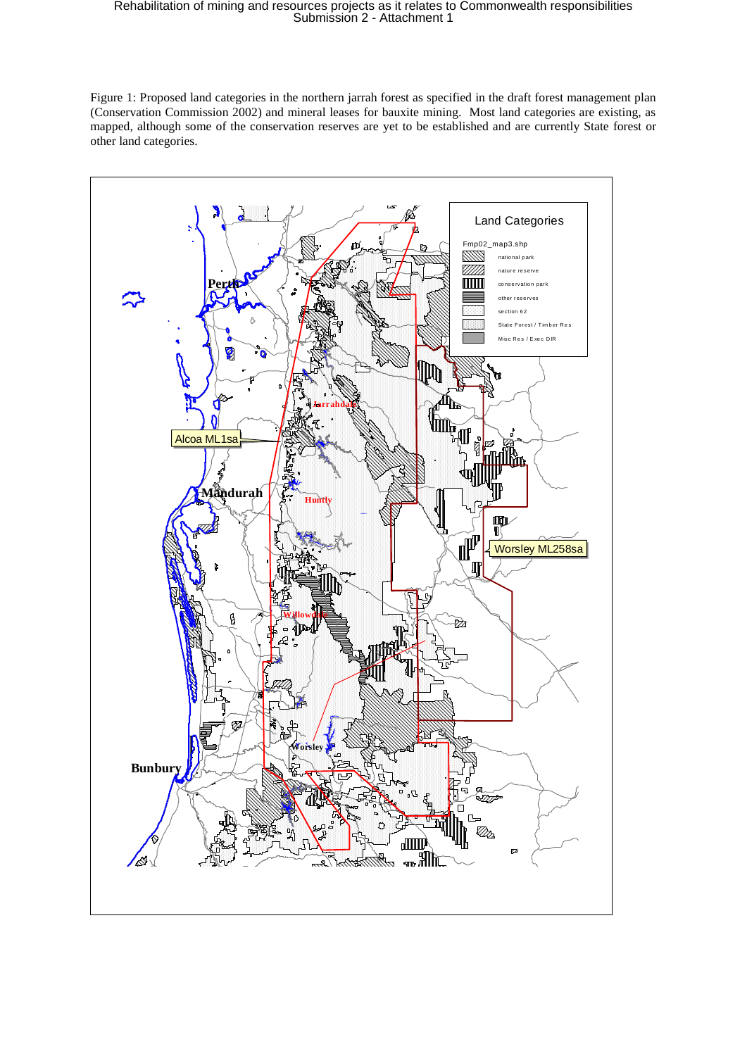Figure 1: Proposed land categories in the northern jarrah forest as specified in the draft forest management plan (Conservation Commission 2002) and mineral leases for bauxite mining. Most land categories are existing, as mapped, although some of the conservation reserves are yet to be established and are currently State forest or other land categories.

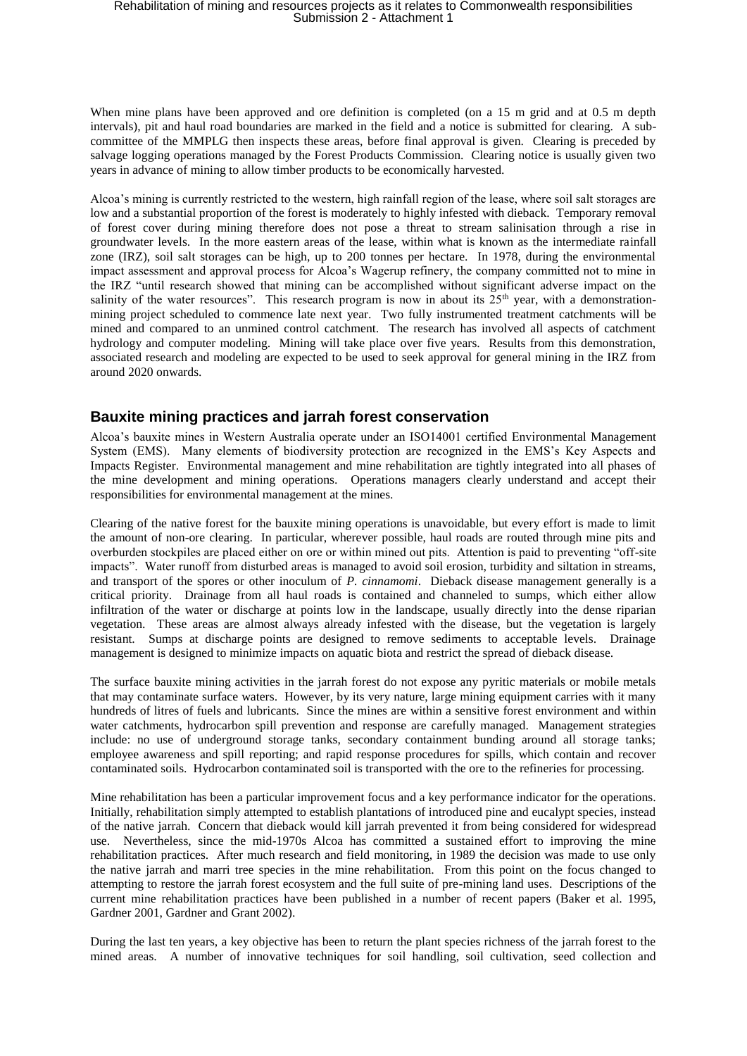When mine plans have been approved and ore definition is completed (on a 15 m grid and at 0.5 m depth intervals), pit and haul road boundaries are marked in the field and a notice is submitted for clearing. A subcommittee of the MMPLG then inspects these areas, before final approval is given. Clearing is preceded by salvage logging operations managed by the Forest Products Commission. Clearing notice is usually given two years in advance of mining to allow timber products to be economically harvested.

Alcoa's mining is currently restricted to the western, high rainfall region of the lease, where soil salt storages are low and a substantial proportion of the forest is moderately to highly infested with dieback. Temporary removal of forest cover during mining therefore does not pose a threat to stream salinisation through a rise in groundwater levels. In the more eastern areas of the lease, within what is known as the intermediate rainfall zone (IRZ), soil salt storages can be high, up to 200 tonnes per hectare. In 1978, during the environmental impact assessment and approval process for Alcoa's Wagerup refinery, the company committed not to mine in the IRZ "until research showed that mining can be accomplished without significant adverse impact on the salinity of the water resources". This research program is now in about its  $25<sup>th</sup>$  year, with a demonstrationmining project scheduled to commence late next year. Two fully instrumented treatment catchments will be mined and compared to an unmined control catchment. The research has involved all aspects of catchment hydrology and computer modeling. Mining will take place over five years. Results from this demonstration, associated research and modeling are expected to be used to seek approval for general mining in the IRZ from around 2020 onwards.

### **Bauxite mining practices and jarrah forest conservation**

Alcoa's bauxite mines in Western Australia operate under an ISO14001 certified Environmental Management System (EMS). Many elements of biodiversity protection are recognized in the EMS's Key Aspects and Impacts Register. Environmental management and mine rehabilitation are tightly integrated into all phases of the mine development and mining operations. Operations managers clearly understand and accept their responsibilities for environmental management at the mines.

Clearing of the native forest for the bauxite mining operations is unavoidable, but every effort is made to limit the amount of non-ore clearing. In particular, wherever possible, haul roads are routed through mine pits and overburden stockpiles are placed either on ore or within mined out pits. Attention is paid to preventing "off-site impacts". Water runoff from disturbed areas is managed to avoid soil erosion, turbidity and siltation in streams, and transport of the spores or other inoculum of *P. cinnamomi*. Dieback disease management generally is a critical priority. Drainage from all haul roads is contained and channeled to sumps, which either allow infiltration of the water or discharge at points low in the landscape, usually directly into the dense riparian vegetation. These areas are almost always already infested with the disease, but the vegetation is largely resistant. Sumps at discharge points are designed to remove sediments to acceptable levels. Drainage management is designed to minimize impacts on aquatic biota and restrict the spread of dieback disease.

The surface bauxite mining activities in the jarrah forest do not expose any pyritic materials or mobile metals that may contaminate surface waters. However, by its very nature, large mining equipment carries with it many hundreds of litres of fuels and lubricants. Since the mines are within a sensitive forest environment and within water catchments, hydrocarbon spill prevention and response are carefully managed. Management strategies include: no use of underground storage tanks, secondary containment bunding around all storage tanks; employee awareness and spill reporting; and rapid response procedures for spills, which contain and recover contaminated soils. Hydrocarbon contaminated soil is transported with the ore to the refineries for processing.

Mine rehabilitation has been a particular improvement focus and a key performance indicator for the operations. Initially, rehabilitation simply attempted to establish plantations of introduced pine and eucalypt species, instead of the native jarrah. Concern that dieback would kill jarrah prevented it from being considered for widespread use. Nevertheless, since the mid-1970s Alcoa has committed a sustained effort to improving the mine rehabilitation practices. After much research and field monitoring, in 1989 the decision was made to use only the native jarrah and marri tree species in the mine rehabilitation. From this point on the focus changed to attempting to restore the jarrah forest ecosystem and the full suite of pre-mining land uses. Descriptions of the current mine rehabilitation practices have been published in a number of recent papers (Baker et al. 1995, Gardner 2001, Gardner and Grant 2002).

During the last ten years, a key objective has been to return the plant species richness of the jarrah forest to the mined areas. A number of innovative techniques for soil handling, soil cultivation, seed collection and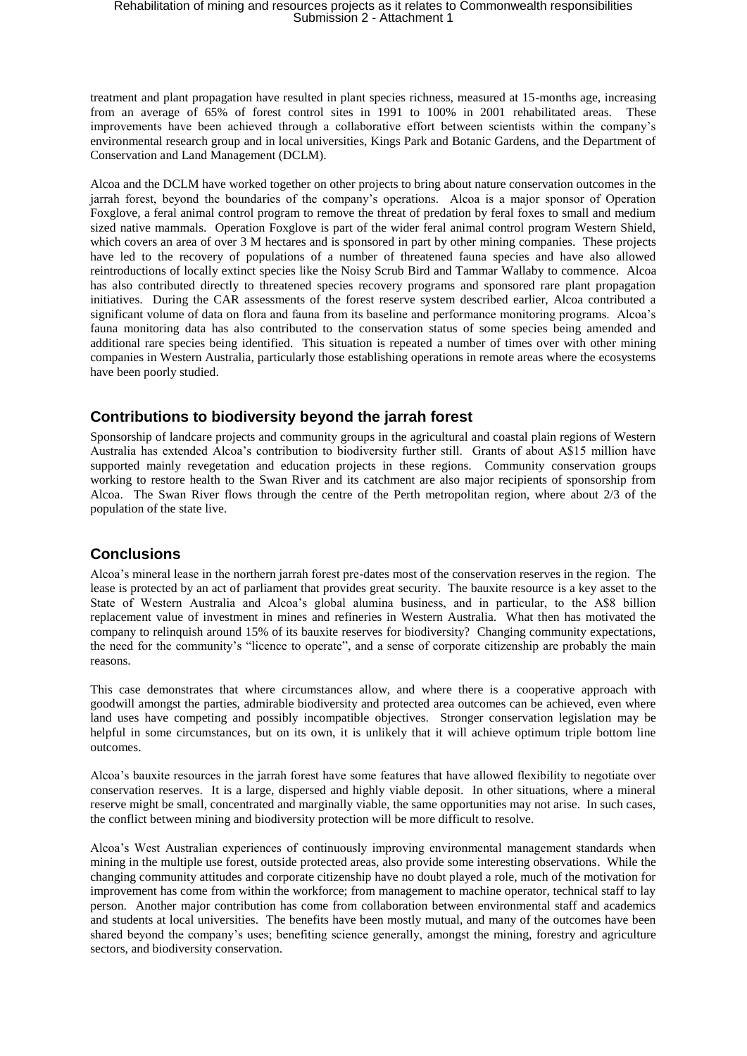treatment and plant propagation have resulted in plant species richness, measured at 15-months age, increasing from an average of 65% of forest control sites in 1991 to 100% in 2001 rehabilitated areas. These improvements have been achieved through a collaborative effort between scientists within the company's environmental research group and in local universities, Kings Park and Botanic Gardens, and the Department of Conservation and Land Management (DCLM).

Alcoa and the DCLM have worked together on other projects to bring about nature conservation outcomes in the jarrah forest, beyond the boundaries of the company's operations. Alcoa is a major sponsor of Operation Foxglove, a feral animal control program to remove the threat of predation by feral foxes to small and medium sized native mammals. Operation Foxglove is part of the wider feral animal control program Western Shield, which covers an area of over 3 M hectares and is sponsored in part by other mining companies. These projects have led to the recovery of populations of a number of threatened fauna species and have also allowed reintroductions of locally extinct species like the Noisy Scrub Bird and Tammar Wallaby to commence. Alcoa has also contributed directly to threatened species recovery programs and sponsored rare plant propagation initiatives. During the CAR assessments of the forest reserve system described earlier, Alcoa contributed a significant volume of data on flora and fauna from its baseline and performance monitoring programs. Alcoa's fauna monitoring data has also contributed to the conservation status of some species being amended and additional rare species being identified. This situation is repeated a number of times over with other mining companies in Western Australia, particularly those establishing operations in remote areas where the ecosystems have been poorly studied.

### **Contributions to biodiversity beyond the jarrah forest**

Sponsorship of landcare projects and community groups in the agricultural and coastal plain regions of Western Australia has extended Alcoa's contribution to biodiversity further still. Grants of about A\$15 million have supported mainly revegetation and education projects in these regions. Community conservation groups working to restore health to the Swan River and its catchment are also major recipients of sponsorship from Alcoa. The Swan River flows through the centre of the Perth metropolitan region, where about 2/3 of the population of the state live.

### **Conclusions**

Alcoa's mineral lease in the northern jarrah forest pre-dates most of the conservation reserves in the region. The lease is protected by an act of parliament that provides great security. The bauxite resource is a key asset to the State of Western Australia and Alcoa's global alumina business, and in particular, to the A\$8 billion replacement value of investment in mines and refineries in Western Australia. What then has motivated the company to relinquish around 15% of its bauxite reserves for biodiversity? Changing community expectations, the need for the community's "licence to operate", and a sense of corporate citizenship are probably the main reasons.

This case demonstrates that where circumstances allow, and where there is a cooperative approach with goodwill amongst the parties, admirable biodiversity and protected area outcomes can be achieved, even where land uses have competing and possibly incompatible objectives. Stronger conservation legislation may be helpful in some circumstances, but on its own, it is unlikely that it will achieve optimum triple bottom line outcomes.

Alcoa's bauxite resources in the jarrah forest have some features that have allowed flexibility to negotiate over conservation reserves. It is a large, dispersed and highly viable deposit. In other situations, where a mineral reserve might be small, concentrated and marginally viable, the same opportunities may not arise. In such cases, the conflict between mining and biodiversity protection will be more difficult to resolve.

Alcoa's West Australian experiences of continuously improving environmental management standards when mining in the multiple use forest, outside protected areas, also provide some interesting observations. While the changing community attitudes and corporate citizenship have no doubt played a role, much of the motivation for improvement has come from within the workforce; from management to machine operator, technical staff to lay person. Another major contribution has come from collaboration between environmental staff and academics and students at local universities. The benefits have been mostly mutual, and many of the outcomes have been shared beyond the company's uses; benefiting science generally, amongst the mining, forestry and agriculture sectors, and biodiversity conservation.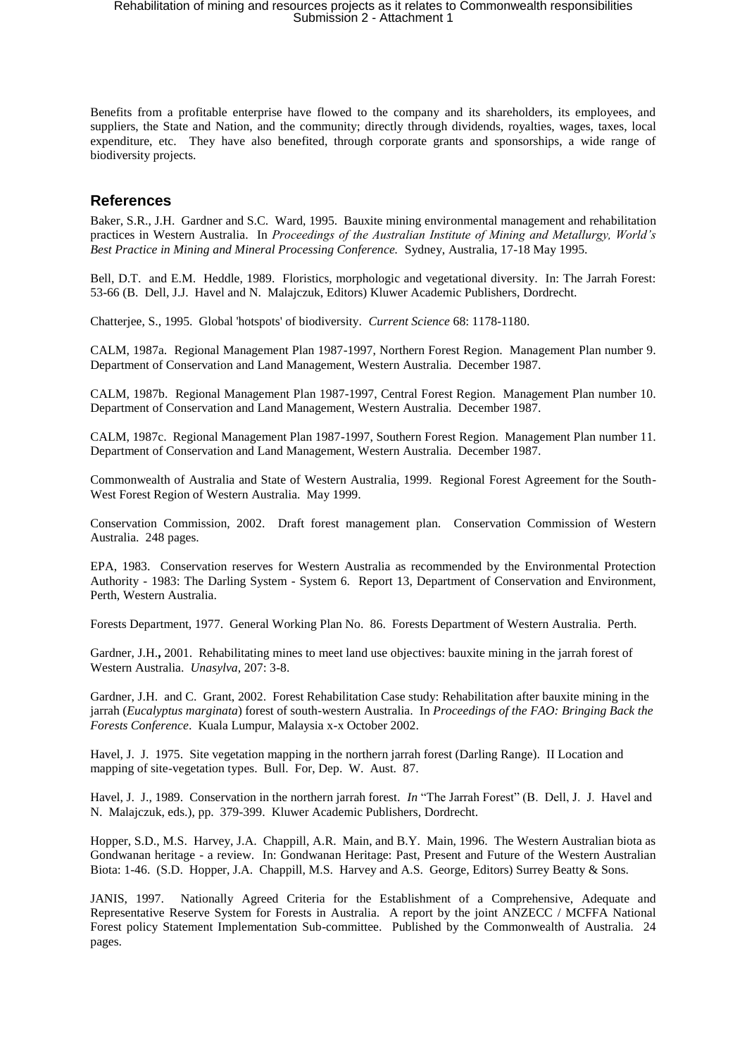Benefits from a profitable enterprise have flowed to the company and its shareholders, its employees, and suppliers, the State and Nation, and the community; directly through dividends, royalties, wages, taxes, local expenditure, etc. They have also benefited, through corporate grants and sponsorships, a wide range of biodiversity projects.

### **References**

Baker, S.R., J.H. Gardner and S.C. Ward, 1995. Bauxite mining environmental management and rehabilitation practices in Western Australia. In *Proceedings of the Australian Institute of Mining and Metallurgy, World's Best Practice in Mining and Mineral Processing Conference.* Sydney, Australia, 17-18 May 1995.

Bell, D.T. and E.M. Heddle, 1989. Floristics, morphologic and vegetational diversity. In: The Jarrah Forest: 53-66 (B. Dell, J.J. Havel and N. Malajczuk, Editors) Kluwer Academic Publishers, Dordrecht.

Chatterjee, S., 1995. Global 'hotspots' of biodiversity. *Current Science* 68: 1178-1180.

CALM, 1987a. Regional Management Plan 1987-1997, Northern Forest Region. Management Plan number 9. Department of Conservation and Land Management, Western Australia. December 1987.

CALM, 1987b. Regional Management Plan 1987-1997, Central Forest Region. Management Plan number 10. Department of Conservation and Land Management, Western Australia. December 1987.

CALM, 1987c. Regional Management Plan 1987-1997, Southern Forest Region. Management Plan number 11. Department of Conservation and Land Management, Western Australia. December 1987.

Commonwealth of Australia and State of Western Australia, 1999. Regional Forest Agreement for the South-West Forest Region of Western Australia. May 1999.

Conservation Commission, 2002. Draft forest management plan. Conservation Commission of Western Australia. 248 pages.

EPA, 1983. Conservation reserves for Western Australia as recommended by the Environmental Protection Authority - 1983: The Darling System - System 6. Report 13, Department of Conservation and Environment, Perth, Western Australia.

Forests Department, 1977. General Working Plan No. 86. Forests Department of Western Australia. Perth.

Gardner, J.H.**,** 2001. Rehabilitating mines to meet land use objectives: bauxite mining in the jarrah forest of Western Australia. *Unasylva,* 207: 3-8.

Gardner, J.H. and C. Grant, 2002. Forest Rehabilitation Case study: Rehabilitation after bauxite mining in the jarrah (*Eucalyptus marginata*) forest of south-western Australia. In *Proceedings of the FAO: Bringing Back the Forests Conference*. Kuala Lumpur, Malaysia x-x October 2002.

Havel, J. J. 1975. Site vegetation mapping in the northern jarrah forest (Darling Range). II Location and mapping of site-vegetation types. Bull. For, Dep. W. Aust. 87.

Havel, J. J., 1989. Conservation in the northern jarrah forest. *In* "The Jarrah Forest" (B. Dell, J. J. Havel and N. Malajczuk, eds.), pp. 379-399. Kluwer Academic Publishers, Dordrecht.

Hopper, S.D., M.S. Harvey, J.A. Chappill, A.R. Main, and B.Y. Main, 1996. The Western Australian biota as Gondwanan heritage - a review. In: Gondwanan Heritage: Past, Present and Future of the Western Australian Biota: 1-46. (S.D. Hopper, J.A. Chappill, M.S. Harvey and A.S. George, Editors) Surrey Beatty & Sons.

JANIS, 1997. Nationally Agreed Criteria for the Establishment of a Comprehensive, Adequate and Representative Reserve System for Forests in Australia. A report by the joint ANZECC / MCFFA National Forest policy Statement Implementation Sub-committee. Published by the Commonwealth of Australia. 24 pages.